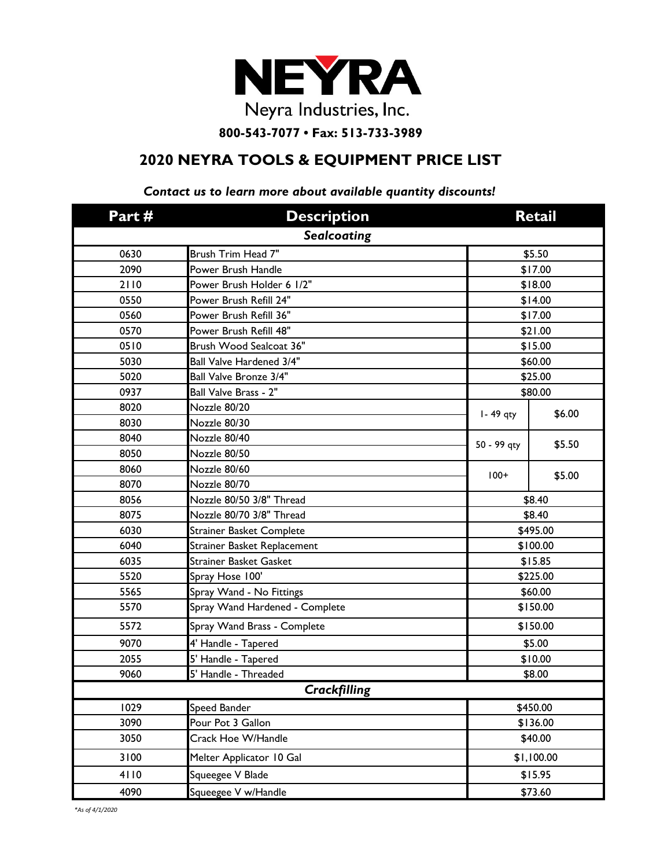

**800-543-7077 • Fax: 513-733-3989**

## **2020 NEYRA TOOLS & EQUIPMENT PRICE LIST**

## *Contact us to learn more about available quantity discounts!*

| Part#               | <b>Description</b>              | <b>Retail</b> |         |  |
|---------------------|---------------------------------|---------------|---------|--|
| <b>Sealcoating</b>  |                                 |               |         |  |
| 0630                | Brush Trim Head 7"              | \$5.50        |         |  |
| 2090                | Power Brush Handle              | \$17.00       |         |  |
| 2110                | Power Brush Holder 6 1/2"       | \$18.00       |         |  |
| 0550                | Power Brush Refill 24"          | \$14.00       |         |  |
| 0560                | Power Brush Refill 36"          | \$17.00       |         |  |
| 0570                | Power Brush Refill 48"          | \$21.00       |         |  |
| 0510                | Brush Wood Sealcoat 36"         | \$15.00       |         |  |
| 5030                | Ball Valve Hardened 3/4"        | \$60.00       |         |  |
| 5020                | Ball Valve Bronze 3/4"          | \$25.00       |         |  |
| 0937                | Ball Valve Brass - 2"           |               | \$80.00 |  |
| 8020                | Nozzle 80/20                    | I - 49 qty    | \$6.00  |  |
| 8030                | Nozzle 80/30                    |               |         |  |
| 8040                | Nozzle 80/40                    | 50 - 99 qty   | \$5.50  |  |
| 8050                | Nozzle 80/50                    |               |         |  |
| 8060                | Nozzle 80/60                    | $100+$        | \$5.00  |  |
| 8070                | Nozzle 80/70                    |               |         |  |
| 8056                | Nozzle 80/50 3/8" Thread        | \$8.40        |         |  |
| 8075                | Nozzle 80/70 3/8" Thread        | \$8.40        |         |  |
| 6030                | <b>Strainer Basket Complete</b> | \$495.00      |         |  |
| 6040                | Strainer Basket Replacement     | \$100.00      |         |  |
| 6035                | <b>Strainer Basket Gasket</b>   | \$15.85       |         |  |
| 5520                | Spray Hose 100'                 | \$225.00      |         |  |
| 5565                | Spray Wand - No Fittings        | \$60.00       |         |  |
| 5570                | Spray Wand Hardened - Complete  | \$150.00      |         |  |
| 5572                | Spray Wand Brass - Complete     | \$150.00      |         |  |
| 9070                | 4' Handle - Tapered             | \$5.00        |         |  |
| 2055                | 5' Handle - Tapered             | \$10.00       |         |  |
| 9060                | 5' Handle - Threaded            |               | \$8.00  |  |
| <b>Crackfilling</b> |                                 |               |         |  |
| 1029                | Speed Bander                    | \$450.00      |         |  |
| 3090                | Pour Pot 3 Gallon               | \$136.00      |         |  |
| 3050                | Crack Hoe W/Handle              | \$40.00       |         |  |
| 3100                | Melter Applicator 10 Gal        | \$1,100.00    |         |  |
| 4110                | Squeegee V Blade                | \$15.95       |         |  |
| 4090                | Squeegee V w/Handle             | \$73.60       |         |  |